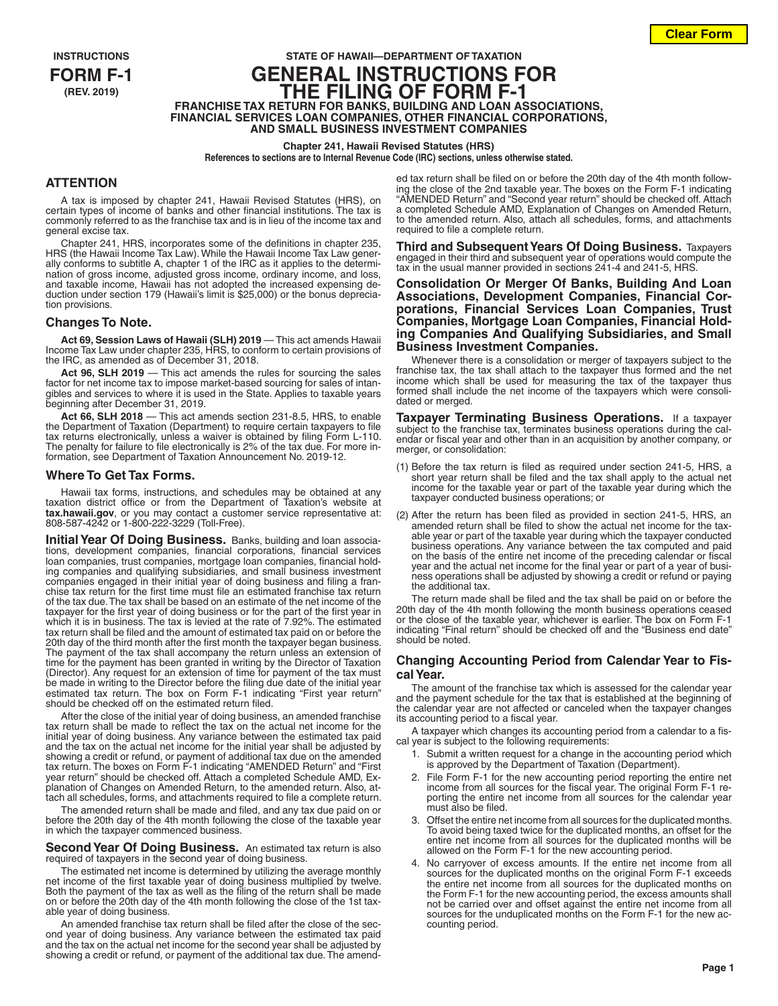# **INSTRUCTIONS STATE OF HAWAII—DEPARTMENT OF TAXATION FORM F-1 GENERAL INSTRUCTIONS FOR (REV. 2019) THE FILING OF FORM F-1 FRANCHISE TAX RETURN FOR BANKS, BUILDING AND LOAN ASSOCIATIONS, FINANCIAL SERVICES LOAN COMPANIES, OTHER FINANCIAL CORPORATIONS, AND SMALL BUSINESS INVESTMENT COMPANIES**

#### **Chapter 241, Hawaii Revised Statutes (HRS)**

**References to sections are to Internal Revenue Code (IRC) sections, unless otherwise stated.**

### **ATTENTION**

A tax is imposed by chapter 241, Hawaii Revised Statutes (HRS), on certain types of income of banks and other financial institutions. The tax is commonly referred to as the franchise tax and is in lieu of the income tax and general excise tax.

Chapter 241, HRS, incorporates some of the definitions in chapter 235, HRS (the Hawaii Income Tax Law). While the Hawaii Income Tax Law generally conforms to subtitle A, chapter 1 of the IRC as it applies to the determination of gross income, adjusted gross income, ordinary income, and loss, and taxable income, Hawaii has not adopted the increased expensing deduction under section 179 (Hawaii's limit is \$25,000) or the bonus depreciation provisions.

### **Changes To Note.**

**Act 69, Session Laws of Hawaii (SLH) 2019** — This act amends Hawaii Income Tax Law under chapter 235, HRS, to conform to certain provisions of the IRC, as amended as of December 31, 2018.

**Act 96, SLH 2019** — This act amends the rules for sourcing the sales factor for net income tax to impose market-based sourcing for sales of intangibles and services to where it is used in the State. Applies to taxable years beginning after December 31, 2019.

**Act 66, SLH 2018** — This act amends section 231-8.5, HRS, to enable the Department of Taxation (Department) to require certain taxpayers to file tax returns electronically, unless a waiver is obtained by filing Form L-110. The penalty for failure to file electronically is 2% of the tax due. For more information, see Department of Taxation Announcement No. 2019-12.

#### **Where To Get Tax Forms.**

Hawaii tax forms, instructions, and schedules may be obtained at any taxation district office or from the Department of Taxation's website at **tax.hawaii.gov**, or you may contact a customer service representative at: 808-587-4242 or 1-800-222-3229 (Toll-Free).

**Initial Year Of Doing Business.** Banks, building and loan associations, development companies, financial corporations, financial services loan companies, trust companies, mortgage loan companies, financial holding companies and qualifying subsidiaries, and small business investment companies engaged in their initial year of doing business and filing a franchise tax return for the first time must file an estimated franchise tax return of the tax due. The tax shall be based on an estimate of the net income of the taxpayer for the first year of doing business or for the part of the first year in which it is in business. The tax is levied at the rate of 7.92%. The estimated tax return shall be filed and the amount of estimated tax paid on or before the 20th day of the third month after the first month the taxpayer began business. The payment of the tax shall accompany the return unless an extension of time for the payment has been granted in writing by the Director of Taxation (Director). Any request for an extension of time for payment of the tax must be made in writing to the Director before the filing due date of the initial year estimated tax return. The box on Form F-1 indicating "First year return" should be checked off on the estimated return filed.

After the close of the initial year of doing business, an amended franchise tax return shall be made to reflect the tax on the actual net income for the initial year of doing business. Any variance between the estimated tax paid and the tax on the actual net income for the initial year shall be adjusted by showing a credit or refund, or payment of additional tax due on the amended tax return. The boxes on Form F-1 indicating "AMENDED Return" and "First year return" should be checked off. Attach a completed Schedule AMD, Explanation of Changes on Amended Return, to the amended return. Also, attach all schedules, forms, and attachments required to file a complete return.

The amended return shall be made and filed, and any tax due paid on or before the 20th day of the 4th month following the close of the taxable year in which the taxpayer commenced business.

**Second Year Of Doing Business.** An estimated tax return is also required of taxpayers in the second year of doing business.

The estimated net income is determined by utilizing the average monthly net income of the first taxable year of doing business multiplied by twelve. Both the payment of the tax as well as the filing of the return shall be made on or before the 20th day of the 4th month following the close of the 1st taxable year of doing business.

An amended franchise tax return shall be filed after the close of the second year of doing business. Any variance between the estimated tax paid and the tax on the actual net income for the second year shall be adjusted by showing a credit or refund, or payment of the additional tax due. The amended tax return shall be filed on or before the 20th day of the 4th month following the close of the 2nd taxable year. The boxes on the Form F-1 indicating "AMENDED Return" and "Second year return" should be checked off. Attach a completed Schedule AMD, Explanation of Changes on Amended Return, to the amended return. Also, attach all schedules, forms, and attachments required to file a complete return.

**Third and Subsequent Years Of Doing Business.** Taxpayers engaged in their third and subsequent year of operations would compute the tax in the usual manner provided in sections 241-4 and 241-5, HRS

**Consolidation Or Merger Of Banks, Building And Loan**  porations, Financial Services Loan Companies, Trust **Companies, Mortgage Loan Companies, Financial Hold- ing Companies And Qualifying Subsidiaries, and Small Business Investment Companies.**

Whenever there is a consolidation or merger of taxpayers subject to the franchise tax, the tax shall attach to the taxpayer thus formed and the net income which shall be used for measuring the tax of the taxpayer thus formed shall include the net income of the taxpayers which were consolidated or merged.

**Taxpayer Terminating Business Operations.** If a taxpayer subject to the franchise tax, terminates business operations during the calendar or fiscal year and other than in an acquisition by another company, or merger, or consolidation:

- (1) Before the tax return is filed as required under section 241-5, HRS, a short year return shall be filed and the tax shall apply to the actual net income for the taxable year or part of the taxable year during which the taxpayer conducted business operations; or
- (2) After the return has been filed as provided in section 241-5, HRS, an amended return shall be filed to show the actual net income for the taxable year or part of the taxable year during which the taxpayer conducted business operations. Any variance between the tax computed and paid on the basis of the entire net income of the preceding calendar or fiscal year and the actual net income for the final year or part of a year of business operations shall be adjusted by showing a credit or refund or paying the additional tax.

The return made shall be filed and the tax shall be paid on or before the 20th day of the 4th month following the month business operations ceased or the close of the taxable year, whichever is earlier. The box on Form F-1 indicating "Final return" should be checked off and the "Business end date" should be noted.

### **Changing Accounting Period from Calendar Year to Fiscal Year.**

The amount of the franchise tax which is assessed for the calendar year and the payment schedule for the tax that is established at the beginning of the calendar year are not affected or canceled when the taxpayer changes its accounting period to a fiscal year.

A taxpayer which changes its accounting period from a calendar to a fiscal year is subject to the following requirements:

- 1. Submit a written request for a change in the accounting period which is approved by the Department of Taxation (Department)
- 2. File Form F-1 for the new accounting period reporting the entire net income from all sources for the fiscal year. The original Form F-1 reporting the entire net income from all sources for the calendar year must also be filed.
- 3. Offset the entire net income from all sources for the duplicated months. To avoid being taxed twice for the duplicated months, an offset for the entire net income from all sources for the duplicated months will be allowed on the Form F-1 for the new accounting period.
- 4. No carryover of excess amounts. If the entire net income from all sources for the duplicated months on the original Form F-1 exceeds the entire net income from all sources for the duplicated months on the Form F-1 for the new accounting period, the excess amounts shall not be carried over and offset against the entire net income from all sources for the unduplicated months on the Form F-1 for the new accounting period.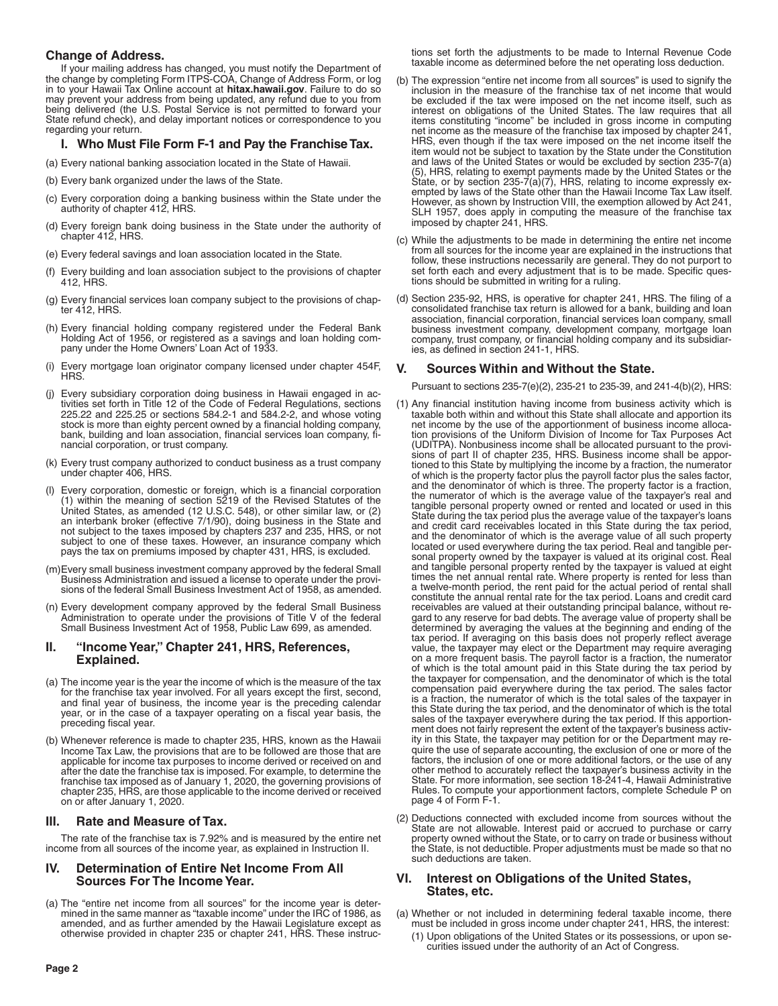# **Change of Address.**

If your mailing address has changed, you must notify the Department of the change by completing Form ITPS-COA, Change of Address Form, or log in to your Hawaii Tax Online account at **hitax.hawaii.gov**. Failure to do so may prevent your address from being updated, any refund due to you from being delivered (the U.S. Postal Service is not permitted to forward your State refund check), and delay important notices or correspondence to you regarding your return.

# **I. Who Must File Form F-1 and Pay the Franchise Tax.**

(a) Every national banking association located in the State of Hawaii.

- (b) Every bank organized under the laws of the State.
- (c) Every corporation doing a banking business within the State under the authority of chapter 412, HRS.
- (d) Every foreign bank doing business in the State under the authority of chapter 412, HRS.
- (e) Every federal savings and loan association located in the State.
- (f) Every building and loan association subject to the provisions of chapter 412, HRS.
- (g) Every financial services loan company subject to the provisions of chapter 412, HRS.
- (h) Every financial holding company registered under the Federal Bank Holding Act of 1956, or registered as a savings and loan holding company under the Home Owners' Loan Act of 1933.
- (i) Every mortgage loan originator company licensed under chapter 454F, HRS.
- (j) Every subsidiary corporation doing business in Hawaii engaged in activities set forth in Title 12 of the Code of Federal Regulations, sections 225.22 and 225.25 or sections 584.2-1 and 584.2-2, and whose voting stock is more than eighty percent owned by a financial holding company, bank, building and loan association, financial services loan company, financial corporation, or trust company.
- (k) Every trust company authorized to conduct business as a trust company under chapter 406, HRS.
- (l) Every corporation, domestic or foreign, which is a financial corporation (1) within the meaning of section 5219 of the Revised Statutes of the United States, as amended (12 U.S.C. 548), or other similar law, or (2) an interbank broker (effective 7/1/90), doing business in the State and not subject to the taxes imposed by chapters 237 and 235, HRS, or not subject to one of these taxes. However, an insurance company which pays the tax on premiums imposed by chapter 431, HRS, is excluded.
- (m)Every small business investment company approved by the federal Small Business Administration and issued a license to operate under the provisions of the federal Small Business Investment Act of 1958, as amended.
- (n) Every development company approved by the federal Small Business Administration to operate under the provisions of Title V of the federal Small Business Investment Act of 1958, Public Law 699, as amended.

### **II. "Income Year," Chapter 241, HRS, References, Explained.**

- (a) The income year is the year the income of which is the measure of the tax for the franchise tax year involved. For all years except the first, second, and final year of business, the income year is the preceding calendar year, or in the case of a taxpayer operating on a fiscal year basis, the preceding fiscal year.
- (b) Whenever reference is made to chapter 235, HRS, known as the Hawaii Income Tax Law, the provisions that are to be followed are those that are applicable for income tax purposes to income derived or received on and after the date the franchise tax is imposed. For example, to determine the franchise tax imposed as of January 1, 2020, the governing provisions of chapter 235, HRS, are those applicable to the income derived or received on or after January 1, 2020.

# **III. Rate and Measure of Tax.**

The rate of the franchise tax is 7.92% and is measured by the entire net income from all sources of the income year, as explained in Instruction II.

### **IV. Determination of Entire Net Income From All Sources For The Income Year.**

(a) The "entire net income from all sources" for the income year is determined in the same manner as "taxable income" under the IRC of 1986, as amended, and as further amended by the Hawaii Legislature except as otherwise provided in chapter 235 or chapter 241, HRS. These instructions set forth the adjustments to be made to Internal Revenue Code taxable income as determined before the net operating loss deduction.

- (b) The expression "entire net income from all sources" is used to signify the inclusion in the measure of the franchise tax of net income that would be excluded if the tax were imposed on the net income itself, such as interest on obligations of the United States. The law requires that all items constituting "income" be included in gross income in computing net income as the measure of the franchise tax imposed by chapter 241, HRS, even though if the tax were imposed on the net income itself the item would not be subject to taxation by the State under the Constitution and laws of the United States or would be excluded by section 235-7(a) (5), HRS, relating to exempt payments made by the United States or the State, or by section 235-7(a)(7), HRS, relating to income expressly exempted by laws of the State other than the Hawaii Income Tax Law itself. However, as shown by Instruction VIII, the exemption allowed by Act 241, SLH 1957, does apply in computing the measure of the franchise tax imposed by chapter 241, HRS.
- (c) While the adjustments to be made in determining the entire net income from all sources for the income year are explained in the instructions that follow, these instructions necessarily are general. They do not purport to set forth each and every adjustment that is to be made. Specific questions should be submitted in writing for a ruling.
- (d) Section 235-92, HRS, is operative for chapter 241, HRS. The filing of a consolidated franchise tax return is allowed for a bank, building and loan association, financial corporation, financial services loan company, small business investment company, development company, mortgage loan company, trust company, or financial holding company and its subsidiaries, as defined in section 241-1, HRS.

# **V. Sources Within and Without the State.**

Pursuant to sections 235-7(e)(2), 235-21 to 235-39, and 241-4(b)(2), HRS:

- (1) Any financial institution having income from business activity which is taxable both within and without this State shall allocate and apportion its net income by the use of the apportionment of business income allocation provisions of the Uniform Division of Income for Tax Purposes Act (UDITPA). Nonbusiness income shall be allocated pursuant to the provisions of part II of chapter 235, HRS. Business income shall be apportioned to this State by multiplying the income by a fraction, the numerator of which is the property factor plus the payroll factor plus the sales factor, and the denominator of which is three. The property factor is a fraction, the numerator of which is the average value of the taxpayer's real and tangible personal property owned or rented and located or used in this State during the tax period plus the average value of the taxpayer's loans and credit card receivables located in this State during the tax period, and the denominator of which is the average value of all such property located or used everywhere during the tax period. Real and tangible personal property owned by the taxpayer is valued at its original cost. Real and tangible personal property rented by the taxpayer is valued at eight times the net annual rental rate. Where property is rented for less than a twelve-month period, the rent paid for the actual period of rental shall constitute the annual rental rate for the tax period. Loans and credit card receivables are valued at their outstanding principal balance, without regard to any reserve for bad debts. The average value of property shall be determined by averaging the values at the beginning and ending of the tax period. If averaging on this basis does not properly reflect average value, the taxpayer may elect or the Department may require averaging on a more frequent basis. The payroll factor is a fraction, the numerator of which is the total amount paid in this State during the tax period by the taxpayer for compensation, and the denominator of which is the total compensation paid everywhere during the tax period. The sales factor is a fraction, the numerator of which is the total sales of the taxpayer in this State during the tax period, and the denominator of which is the total sales of the taxpayer everywhere during the tax period. If this apportionment does not fairly represent the extent of the taxpayer's business activity in this State, the taxpayer may petition for or the Department may require the use of separate accounting, the exclusion of one or more of the factors, the inclusion of one or more additional factors, or the use of any other method to accurately reflect the taxpayer's business activity in the State. For more information, see section 18-241-4, Hawaii Administrative Rules. To compute your apportionment factors, complete Schedule P on page 4 of Form F-1.
- (2) Deductions connected with excluded income from sources without the State are not allowable. Interest paid or accrued to purchase or carry property owned without the State, or to carry on trade or business without the State, is not deductible. Proper adjustments must be made so that no such deductions are taken.

### **VI. Interest on Obligations of the United States, States, etc.**

- (a) Whether or not included in determining federal taxable income, there must be included in gross income under chapter 241, HRS, the interest:
	- (1) Upon obligations of the United States or its possessions, or upon securities issued under the authority of an Act of Congress.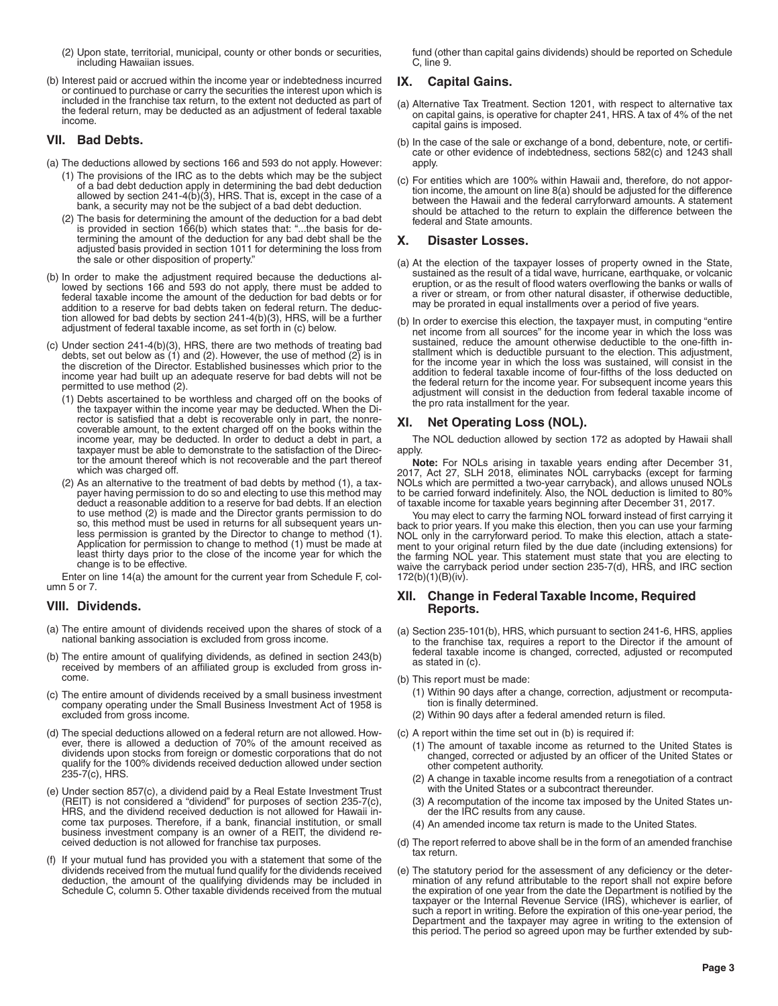- (2) Upon state, territorial, municipal, county or other bonds or securities, including Hawaiian issues.
- (b) Interest paid or accrued within the income year or indebtedness incurred or continued to purchase or carry the securities the interest upon which is included in the franchise tax return, to the extent not deducted as part of the federal return, may be deducted as an adjustment of federal taxable income.

### **VII. Bad Debts.**

- (a) The deductions allowed by sections 166 and 593 do not apply. However:
	- (1) The provisions of the IRC as to the debts which may be the subject of a bad debt deduction apply in determining the bad debt deduction allowed by section 241-4(b)(3), HRS. That is, except in the case of a bank, a security may not be the subject of a bad debt deduction.
	- (2) The basis for determining the amount of the deduction for a bad debt is provided in section 166(b) which states that: "...the basis for determining the amount of the deduction for any bad debt shall be the adjusted basis provided in section 1011 for determining the loss from the sale or other disposition of property."
- (b) In order to make the adjustment required because the deductions allowed by sections 166 and 593 do not apply, there must be added to federal taxable income the amount of the deduction for bad debts or for addition to a reserve for bad debts taken on federal return. The deduction allowed for bad debts by section 241-4(b)(3), HRS, will be a further adjustment of federal taxable income, as set forth in (c) below.
- (c) Under section 241-4(b)(3), HRS, there are two methods of treating bad debts, set out below as (1) and (2). However, the use of method (2) is in the discretion of the Director. Established businesses which prior to the income year had built up an adequate reserve for bad debts will not be permitted to use method (2).
	- (1) Debts ascertained to be worthless and charged off on the books of the taxpayer within the income year may be deducted. When the Director is satisfied that a debt is recoverable only in part, the nonrecoverable amount, to the extent charged off on the books within the income year, may be deducted. In order to deduct a debt in part, a taxpayer must be able to demonstrate to the satisfaction of the Director the amount thereof which is not recoverable and the part thereof which was charged off.
	- (2) As an alternative to the treatment of bad debts by method (1), a taxpayer having permission to do so and electing to use this method may deduct a reasonable addition to a reserve for bad debts. If an election to use method (2) is made and the Director grants permission to do so, this method must be used in returns for all subsequent years unless permission is granted by the Director to change to method (1). Application for permission to change to method (1) must be made at least thirty days prior to the close of the income year for which the change is to be effective.

Enter on line 14(a) the amount for the current year from Schedule F, column 5 or 7.

# **VIII. Dividends.**

- (a) The entire amount of dividends received upon the shares of stock of a national banking association is excluded from gross income.
- (b) The entire amount of qualifying dividends, as defined in section 243(b) received by members of an affiliated group is excluded from gross income.
- (c) The entire amount of dividends received by a small business investment company operating under the Small Business Investment Act of 1958 is excluded from gross income.
- (d) The special deductions allowed on a federal return are not allowed. However, there is allowed a deduction of 70% of the amount received as dividends upon stocks from foreign or domestic corporations that do not qualify for the 100% dividends received deduction allowed under section 235-7(c), HRS.
- (e) Under section 857(c), a dividend paid by a Real Estate Investment Trust (REIT) is not considered a "dividend" for purposes of section 235-7(c), HRS, and the dividend received deduction is not allowed for Hawaii income tax purposes. Therefore, if a bank, financial institution, or small business investment company is an owner of a REIT, the dividend re-ceived deduction is not allowed for franchise tax purposes.
- (f) If your mutual fund has provided you with a statement that some of the dividends received from the mutual fund qualify for the dividends received deduction, the amount of the qualifying dividends may be included in Schedule C, column 5. Other taxable dividends received from the mutual

fund (other than capital gains dividends) should be reported on Schedule C, line 9.

# **IX. Capital Gains.**

- (a) Alternative Tax Treatment. Section 1201, with respect to alternative tax on capital gains, is operative for chapter 241, HRS. A tax of 4% of the net capital gains is imposed.
- (b) In the case of the sale or exchange of a bond, debenture, note, or certificate or other evidence of indebtedness, sections 582(c) and 1243 shall apply.
- (c) For entities which are 100% within Hawaii and, therefore, do not apportion income, the amount on line 8(a) should be adjusted for the difference between the Hawaii and the federal carryforward amounts. A statement should be attached to the return to explain the difference between the federal and State amounts.

# **X. Disaster Losses.**

- (a) At the election of the taxpayer losses of property owned in the State, sustained as the result of a tidal wave, hurricane, earthquake, or volcanic eruption, or as the result of flood waters overflowing the banks or walls of a river or stream, or from other natural disaster, if otherwise deductible, may be prorated in equal installments over a period of five years.
- (b) In order to exercise this election, the taxpayer must, in computing "entire net income from all sources" for the income year in which the loss was sustained, reduce the amount otherwise deductible to the one-fifth installment which is deductible pursuant to the election. This adjustment, for the income year in which the loss was sustained, will consist in the addition to federal taxable income of four-fifths of the loss deducted on the federal return for the income year. For subsequent income years this adjustment will consist in the deduction from federal taxable income of the pro rata installment for the year.

# **XI. Net Operating Loss (NOL).**

The NOL deduction allowed by section 172 as adopted by Hawaii shall apply.

**Note:** For NOLs arising in taxable years ending after December 31, 2017, Act 27, SLH 2018, eliminates NOL carrybacks (except for farming NOLs which are permitted a two-year carryback), and allows unused NOLs to be carried forward indefinitely. Also, the NOL deduction is limited to 80% of taxable income for taxable years beginning after December 31, 2017.

You may elect to carry the farming NOL forward instead of first carrying it back to prior years. If you make this election, then you can use your farming NOL only in the carryforward period. To make this election, attach a statement to your original return filed by the due date (including extensions) for the farming NOL year. This statement must state that you are electing to waive the carryback period under section 235-7(d), HRS, and IRC section 172(b)(1)(B)(iv).

### **XII. Change in Federal Taxable Income, Required Reports.**

- (a) Section 235-101(b), HRS, which pursuant to section 241-6, HRS, applies to the franchise tax, requires a report to the Director if the amount of federal taxable income is changed, corrected, adjusted or recomputed as stated in (c).
- (b) This report must be made:
	- (1) Within 90 days after a change, correction, adjustment or recomputation is finally determined.
	- (2) Within 90 days after a federal amended return is filed.
- (c) A report within the time set out in (b) is required if:
	- (1) The amount of taxable income as returned to the United States is changed, corrected or adjusted by an officer of the United States or other competent authority.
	- (2) A change in taxable income results from a renegotiation of a contract with the United States or a subcontract thereunder.
	- (3) A recomputation of the income tax imposed by the United States under the IRC results from any cause.
	- (4) An amended income tax return is made to the United States.
- (d) The report referred to above shall be in the form of an amended franchise tax return.
- (e) The statutory period for the assessment of any deficiency or the determination of any refund attributable to the report shall not expire before the expiration of one year from the date the Department is notified by the taxpayer or the Internal Revenue Service (IRS), whichever is earlier, of such a report in writing. Before the expiration of this one-year period, the Department and the taxpayer may agree in writing to the extension of this period. The period so agreed upon may be further extended by sub-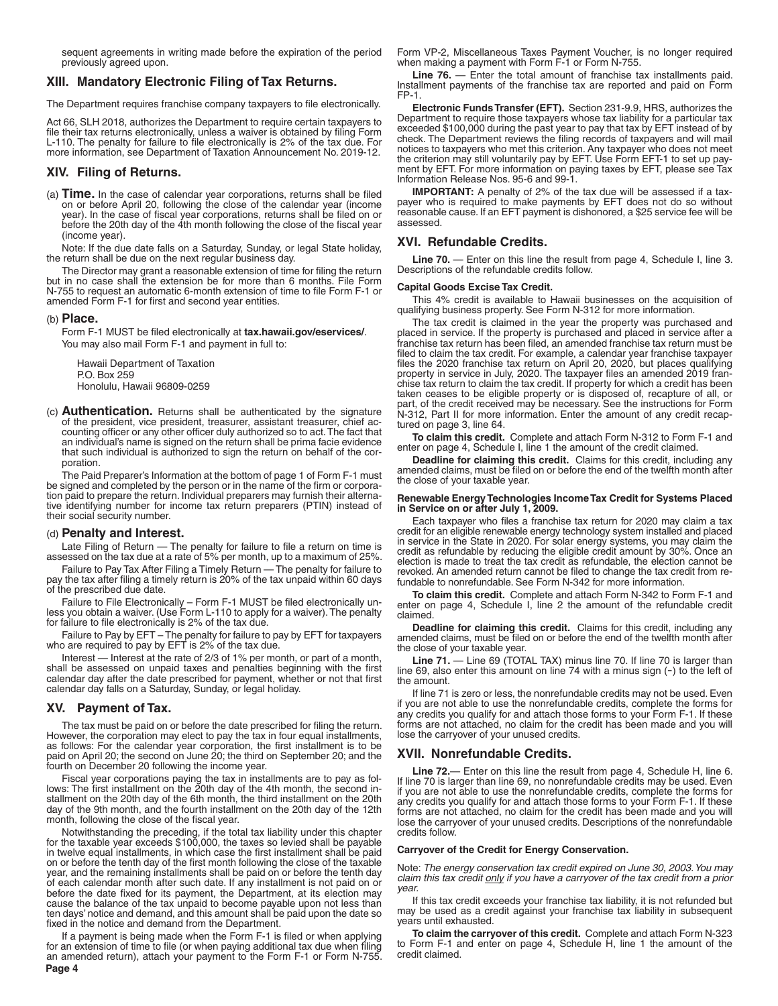sequent agreements in writing made before the expiration of the period previously agreed upon.

#### **XIII. Mandatory Electronic Filing of Tax Returns.**

The Department requires franchise company taxpayers to file electronically.

Act 66, SLH 2018, authorizes the Department to require certain taxpayers to file their tax returns electronically, unless a waiver is obtained by filing Form L-110. The penalty for failure to file electronically is 2% of the tax due. For more information, see Department of Taxation Announcement No. 2019-12.

### **XIV. Filing of Returns.**

(a) **Time.** In the case of calendar year corporations, returns shall be filed on or before April 20, following the close of the calendar year (income year). In the case of fiscal year corporations, returns shall be filed on or before the 20th day of the 4th month following the close of the fiscal year (income year).

Note: If the due date falls on a Saturday, Sunday, or legal State holiday, the return shall be due on the next regular business day.

The Director may grant a reasonable extension of time for filing the return but in no case shall the extension be for more than 6 months. File Form N-755 to request an automatic 6-month extension of time to file Form F-1 or amended Form F-1 for first and second year entities.

#### (b) **Place.**

Form F-1 MUST be filed electronically at **tax.hawaii.gov/eservices/**. You may also mail Form F-1 and payment in full to:

Hawaii Department of Taxation P.O. Box 259 Honolulu, Hawaii 96809-0259

(c) **Authentication.** Returns shall be authenticated by the signature of the president, vice president, treasurer, assistant treasurer, chief accounting officer or any other officer duly authorized so to act. The fact that an individual's name is signed on the return shall be prima facie evidence that such individual is authorized to sign the return on behalf of the corporation.

The Paid Preparer's Information at the bottom of page 1 of Form F-1 must be signed and completed by the person or in the name of the firm or corporation paid to prepare the return. Individual preparers may furnish their alternative identifying number for income tax return preparers (PTIN) instead of their social security number.

#### (d) **Penalty and Interest.**

Late Filing of Return — The penalty for failure to file a return on time is assessed on the tax due at a rate of 5% per month, up to a maximum of 25%.

Failure to Pay Tax After Filing a Timely Return — The penalty for failure to pay the tax after filing a timely return is 20% of the tax unpaid within 60 days of the prescribed due date.

Failure to File Electronically – Form F-1 MUST be filed electronically unless you obtain a waiver. (Use Form L-110 to apply for a waiver). The penalty for failure to file electronically is 2% of the tax due.

Failure to Pay by EFT – The penalty for failure to pay by EFT for taxpayers who are required to pay by EFT is 2% of the tax due.

Interest — Interest at the rate of 2/3 of 1% per month, or part of a month, shall be assessed on unpaid taxes and penalties beginning with the first calendar day after the date prescribed for payment, whether or not that first calendar day falls on a Saturday, Sunday, or legal holiday.

#### **XV. Payment of Tax.**

The tax must be paid on or before the date prescribed for filing the return. However, the corporation may elect to pay the tax in four equal installments, as follows: For the calendar year corporation, the first installment is to be paid on April 20; the second on June 20; the third on September 20; and the fourth on December 20 following the income year.

Fiscal year corporations paying the tax in installments are to pay as follows: The first installment on the 20th day of the 4th month, the second installment on the 20th day of the 6th month, the third installment on the 20th day of the 9th month, and the fourth installment on the 20th day of the 12th month, following the close of the fiscal year.

Notwithstanding the preceding, if the total tax liability under this chapter for the taxable year exceeds \$100,000, the taxes so levied shall be payable in twelve equal installments, in which case the first installment shall be paid on or before the tenth day of the first month following the close of the taxable year, and the remaining installments shall be paid on or before the tenth day of each calendar month after such date. If any installment is not paid on or before the date fixed for its payment, the Department, at its election may cause the balance of the tax unpaid to become payable upon not less than ten days' notice and demand, and this amount shall be paid upon the date so fixed in the notice and demand from the Department.

**Page 4** If a payment is being made when the Form F-1 is filed or when applying for an extension of time to file (or when paying additional tax due when filing an amended return), attach your payment to the Form F-1 or Form N-755. Form VP-2, Miscellaneous Taxes Payment Voucher, is no longer required when making a payment with Form F-1 or Form N-755.

Line 76. - Enter the total amount of franchise tax installments paid. Installment payments of the franchise tax are reported and paid on Form FP-1.

**Electronic Funds Transfer (EFT).** Section 231-9.9, HRS, authorizes the Department to require those taxpayers whose tax liability for a particular tax exceeded \$100,000 during the past year to pay that tax by EFT instead of by check. The Department reviews the filing records of taxpayers and will mail notices to taxpayers who met this criterion. Any taxpayer who does not meet the criterion may still voluntarily pay by EFT. Use Form EFT-1 to set up payment by EFT. For more information on paying taxes by EFT, please see Tax Information Release Nos. 95-6 and 99-1.

**IMPORTANT:** A penalty of 2% of the tax due will be assessed if a taxpayer who is required to make payments by EFT does not do so without reasonable cause. If an EFT payment is dishonored, a \$25 service fee will be assessed.

### **XVI. Refundable Credits.**

Line 70. - Enter on this line the result from page 4, Schedule I, line 3. Descriptions of the refundable credits follow.

#### **Capital Goods Excise Tax Credit.**

This 4% credit is available to Hawaii businesses on the acquisition of qualifying business property. See Form N-312 for more information.

The tax credit is claimed in the year the property was purchased and placed in service. If the property is purchased and placed in service after a franchise tax return has been filed, an amended franchise tax return must be filed to claim the tax credit. For example, a calendar year franchise taxpayer files the 2020 franchise tax return on April 20, 2020, but places qualifying property in service in July, 2020. The taxpayer files an amended 2019 franchise tax return to claim the tax credit. If property for which a credit has been taken ceases to be eligible property or is disposed of, recapture of all, or part, of the credit received may be necessary. See the instructions for Form N-312, Part II for more information. Enter the amount of any credit recaptured on page 3, line 64.

**To claim this credit.** Complete and attach Form N-312 to Form F-1 and enter on page 4, Schedule I, line 1 the amount of the credit claimed.

**Deadline for claiming this credit.** Claims for this credit, including any amended claims, must be filed on or before the end of the twelfth month after the close of your taxable year.

#### **Renewable Energy Technologies Income Tax Credit for Systems Placed in Service on or after July 1, 2009.**

Each taxpayer who files a franchise tax return for 2020 may claim a tax credit for an eligible renewable energy technology system installed and placed in service in the State in 2020. For solar energy systems, you may claim the credit as refundable by reducing the eligible credit amount by 30%. Once an election is made to treat the tax credit as refundable, the election cannot be revoked. An amended return cannot be filed to change the tax credit from refundable to nonrefundable. See Form N-342 for more information.

**To claim this credit.** Complete and attach Form N-342 to Form F-1 and enter on page 4, Schedule I, line 2 the amount of the refundable credit claimed.

**Deadline for claiming this credit.** Claims for this credit, including any amended claims, must be filed on or before the end of the twelfth month after the close of your taxable year.

Line 71. — Line 69 (TOTAL TAX) minus line 70. If line 70 is larger than line 69, also enter this amount on line 74 with a minus sign (-) to the left of the amount.

If line 71 is zero or less, the nonrefundable credits may not be used. Even if you are not able to use the nonrefundable credits, complete the forms for any credits you qualify for and attach those forms to your Form F-1. If these forms are not attached, no claim for the credit has been made and you will lose the carryover of your unused credits.

### **XVII. Nonrefundable Credits.**

**Line 72.**— Enter on this line the result from page 4, Schedule H, line 6. If line 70 is larger than line 69, no nonrefundable credits may be used. Even if you are not able to use the nonrefundable credits, complete the forms for any credits you qualify for and attach those forms to your Form F-1. If these forms are not attached, no claim for the credit has been made and you will lose the carryover of your unused credits. Descriptions of the nonrefundable credits follow.

#### **Carryover of the Credit for Energy Conservation.**

Note: *The energy conservation tax credit expired on June 30, 2003. You may claim this tax credit only if you have a carryover of the tax credit from a prior year.*

If this tax credit exceeds your franchise tax liability, it is not refunded but may be used as a credit against your franchise tax liability in subsequent years until exhausted.

**To claim the carryover of this credit.** Complete and attach Form N-323 to Form F-1 and enter on page 4, Schedule H, line 1 the amount of the credit claimed.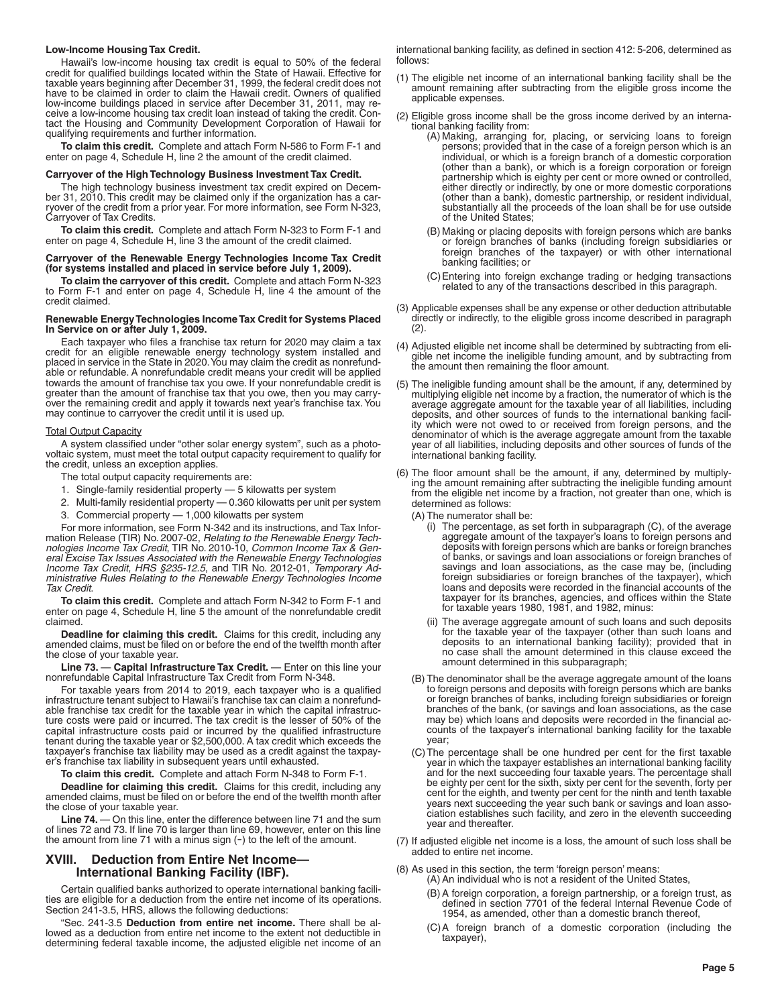#### **Low-Income Housing Tax Credit.**

Hawaii's low-income housing tax credit is equal to 50% of the federal credit for qualified buildings located within the State of Hawaii. Effective for taxable years beginning after December 31, 1999, the federal credit does not have to be claimed in order to claim the Hawaii credit. Owners of qualified low-income buildings placed in service after December 31, 2011, may receive a low-income housing tax credit loan instead of taking the credit. Contact the Housing and Community Development Corporation of Hawaii for qualifying requirements and further information.

**To claim this credit.** Complete and attach Form N-586 to Form F-1 and enter on page 4, Schedule H, line 2 the amount of the credit claimed.

#### **Carryover of the High Technology Business Investment Tax Credit.**

The high technology business investment tax credit expired on December 31, 2010. This credit may be claimed only if the organization has a carryover of the credit from a prior year. For more information, see Form N-323, Carryover of Tax Credits.

**To claim this credit.** Complete and attach Form N-323 to Form F-1 and enter on page 4, Schedule H, line 3 the amount of the credit claimed.

#### **Carryover of the Renewable Energy Technologies Income Tax Credit (for systems installed and placed in service before July 1, 2009).**

**To claim the carryover of this credit.** Complete and attach Form N-323 to Form F-1 and enter on page 4, Schedule H, line 4 the amount of the credit claimed.

#### **Renewable Energy Technologies Income Tax Credit for Systems Placed In Service on or after July 1, 2009.**

Each taxpayer who files a franchise tax return for 2020 may claim a tax credit for an eligible renewable energy technology system installed and placed in service in the State in 2020. You may claim the credit as nonrefundable or refundable. A nonrefundable credit means your credit will be applied towards the amount of franchise tax you owe. If your nonrefundable credit is greater than the amount of franchise tax that you owe, then you may carryover the remaining credit and apply it towards next year's franchise tax. You may continue to carryover the credit until it is used up.

#### **Total Output Capacity**

A system classified under "other solar energy system", such as a photovoltaic system, must meet the total output capacity requirement to qualify for the credit, unless an exception applies.

- The total output capacity requirements are:
- 1. Single-family residential property 5 kilowatts per system
- 2. Multi-family residential property 0.360 kilowatts per unit per system
- 3. Commercial property 1,000 kilowatts per system

For more information, see Form N-342 and its instructions, and Tax Information Release (TIR) No. 2007-02, *Relating to the Renewable Energy Technologies Income Tax Credit*, TIR No. 2010-10, *Common Income Tax & General Excise Tax Issues Associated with the Renewable Energy Technologies Income Tax Credit, HRS §235-12.5*, and TIR No. 2012-01, *Temporary Administrative Rules Relating to the Renewable Energy Technologies Income Tax Credit*.

**To claim this credit.** Complete and attach Form N-342 to Form F-1 and enter on page 4, Schedule H, line 5 the amount of the nonrefundable credit claimed.

**Deadline for claiming this credit.** Claims for this credit, including any amended claims, must be filed on or before the end of the twelfth month after the close of your taxable year.

**Line 73.** — **Capital Infrastructure Tax Credit.** — Enter on this line your nonrefundable Capital Infrastructure Tax Credit from Form N-348.

For taxable years from 2014 to 2019, each taxpayer who is a qualified infrastructure tenant subject to Hawaii's franchise tax can claim a nonrefundable franchise tax credit for the taxable year in which the capital infrastructure costs were paid or incurred. The tax credit is the lesser of 50% of the capital infrastructure costs paid or incurred by the qualified infrastructure tenant during the taxable year or \$2,500,000. A tax credit which exceeds the taxpayer's franchise tax liability may be used as a credit against the taxpayer's franchise tax liability in subsequent years until exhausted.

**To claim this credit.** Complete and attach Form N-348 to Form F-1.

**Deadline for claiming this credit.** Claims for this credit, including any amended claims, must be filed on or before the end of the twelfth month after the close of your taxable year.

Line 74. 
— On this line, enter the difference between line 71 and the sum of lines 72 and 73. If line 70 is larger than line 69, however, enter on this line the amount from line 71 with a minus sign  $(-)$  to the left of the amount.

### **XVIII. Deduction from Entire Net Income— International Banking Facility (IBF).**

Certain qualified banks authorized to operate international banking facilities are eligible for a deduction from the entire net income of its operations. Section 241-3.5, HRS, allows the following deductions:

"Sec. 241-3.5 **Deduction from entire net income.** There shall be allowed as a deduction from entire net income to the extent not deductible in determining federal taxable income, the adjusted eligible net income of an international banking facility, as defined in section 412: 5-206, determined as follows:

- (1) The eligible net income of an international banking facility shall be the amount remaining after subtracting from the eligible gross income the applicable expenses.
- (2) Eligible gross income shall be the gross income derived by an international banking facility from:
	- (A) Making, arranging for, placing, or servicing loans to foreign persons; provided that in the case of a foreign person which is an individual, or which is a foreign branch of a domestic corporation (other than a bank), or which is a foreign corporation or foreign partnership which is eighty per cent or more owned or controlled, either directly or indirectly, by one or more domestic corporations (other than a bank), domestic partnership, or resident individual, substantially all the proceeds of the loan shall be for use outside of the United States;
	- (B) Making or placing deposits with foreign persons which are banks or foreign branches of banks (including foreign subsidiaries or foreign branches of the taxpayer) or with other international banking facilities; or
	- (C)Entering into foreign exchange trading or hedging transactions related to any of the transactions described in this paragraph.
- (3) Applicable expenses shall be any expense or other deduction attributable directly or indirectly, to the eligible gross income described in paragraph (2).
- (4) Adjusted eligible net income shall be determined by subtracting from eligible net income the ineligible funding amount, and by subtracting from the amount then remaining the floor amount.
- (5) The ineligible funding amount shall be the amount, if any, determined by multiplying eligible net income by a fraction, the numerator of which is the average aggregate amount for the taxable year of all liabilities, including deposits, and other sources of funds to the international banking facility which were not owed to or received from foreign persons, and the denominator of which is the average aggregate amount from the taxable year of all liabilities, including deposits and other sources of funds of the international banking facility.
- (6) The floor amount shall be the amount, if any, determined by multiplying the amount remaining after subtracting the ineligible funding amount from the eligible net income by a fraction, not greater than one, which is determined as follows:

(A) The numerator shall be:

- (i) The percentage, as set forth in subparagraph (C), of the average aggregate amount of the taxpayer's loans to foreign persons and deposits with foreign persons which are banks or foreign branches of banks, or savings and loan associations or foreign branches of savings and loan associations, as the case may be, (including foreign subsidiaries or foreign branches of the taxpayer), which loans and deposits were recorded in the financial accounts of the taxpayer for its branches, agencies, and offices within the State for taxable years 1980, 1981, and 1982, minus:
- (ii) The average aggregate amount of such loans and such deposits for the taxable year of the taxpayer (other than such loans and deposits to an international banking facility); provided that in no case shall the amount determined in this clause exceed the amount determined in this subparagraph;
- (B) The denominator shall be the average aggregate amount of the loans to foreign persons and deposits with foreign persons which are banks or foreign branches of banks, including foreign subsidiaries or foreign branches of the bank, (or savings and loan associations, as the case may be) which loans and deposits were recorded in the financial accounts of the taxpayer's international banking facility for the taxable year;
- (C)The percentage shall be one hundred per cent for the first taxable year in which the taxpayer establishes an international banking facility and for the next succeeding four taxable years. The percentage shall be eighty per cent for the sixth, sixty per cent for the seventh, forty per cent for the eighth, and twenty per cent for the ninth and tenth taxable years next succeeding the year such bank or savings and loan association establishes such facility, and zero in the eleventh succeeding year and thereafter.
- (7) If adjusted eligible net income is a loss, the amount of such loss shall be added to entire net income.
- (8) As used in this section, the term 'foreign person' means:
	- (A) An individual who is not a resident of the United States,
	- (B) A foreign corporation, a foreign partnership, or a foreign trust, as defined in section 7701 of the federal Internal Revenue Code of 1954, as amended, other than a domestic branch thereof,
	- (C)A foreign branch of a domestic corporation (including the taxpayer),